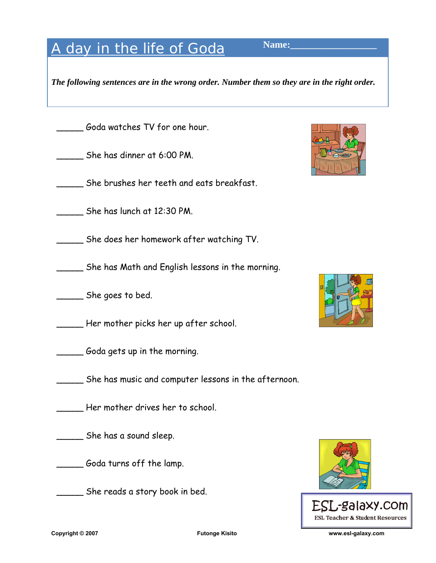## A day in the life of Goda Name:

*The following sentences are in the wrong order. Number them so they are in the right order.* 

Goda watches TV for one hour.

\_\_\_\_\_ She has dinner at 6:00 PM.

\_\_\_\_\_ She brushes her teeth and eats breakfast.

\_\_\_\_\_ She has lunch at 12:30 PM.

\_\_\_\_\_ She does her homework after watching TV.

\_\_\_\_\_ She has Math and English lessons in the morning.

\_\_\_\_\_ She goes to bed.

\_\_\_\_\_ Her mother picks her up after school.

\_\_\_\_\_ Goda gets up in the morning.

\_\_\_\_\_ She has music and computer lessons in the afternoon.

Her mother drives her to school.

\_\_\_\_\_ She has a sound sleep.

\_\_\_\_\_ Goda turns off the lamp.

\_\_\_\_\_ She reads a story book in bed.